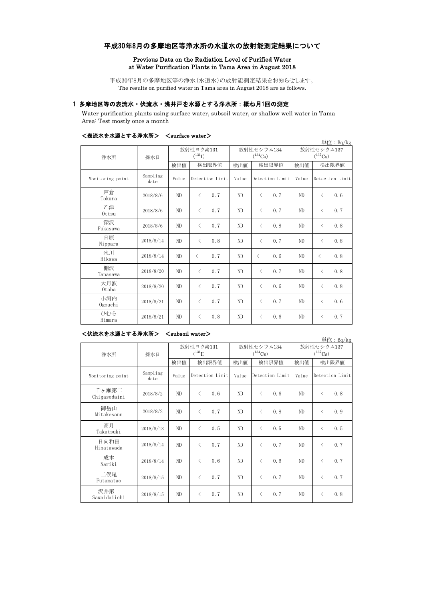# 平成30年8月の多摩地区等浄水所の水道水の放射能測定結果について

#### Previous Data on the Radiation Level of Purified Water at Water Purification Plants in Tama Area in August 2018

平成30年8月の多摩地区等の浄水(水道水)の放射能測定結果をお知らせします。 The results on purified water in Tama area in August 2018 are as follows.

## 1 多摩地区等の表流水・伏流水・浅井戸を水源とする浄水所:概ね月1回の測定

Water purification plants using surface water, subsoil water, or shallow well water in Tama Area: Test mostly once a month

|                  |                  |                |                   |                       |                  |                | 単位: Bq/kg        |
|------------------|------------------|----------------|-------------------|-----------------------|------------------|----------------|------------------|
| 浄水所              | 採水日              | 放射性ヨウ素131      |                   | 放射性セシウム134            |                  | 放射性セシウム137     |                  |
|                  |                  | $(^{131}I)$    |                   | $(^{134}\mathrm{Cs})$ |                  | $(^{137}Cs)$   |                  |
|                  |                  | 検出値            | 検出限界値             | 検出値                   | 検出限界値            | 検出値            | 検出限界値            |
| Monitoring point | Sampling<br>date | Value          | Detection Limit   | Value                 | Detection Limit  | Value          | Detection Limit  |
| 戸倉<br>Tokura     | 2018/8/6         | N <sub>D</sub> | 0.7<br>$\langle$  | ND                    | 0.7<br>$\langle$ | ND             | $\langle$<br>0.6 |
| 乙津<br>Ottsu      | 2018/8/6         | ND             | $\langle$<br>0, 7 | ND                    | $\langle$<br>0.7 | ND             | 0.7<br>$\langle$ |
| 深沢<br>Fukasawa   | 2018/8/6         | N <sub>D</sub> | 0.7<br>$\langle$  | ND                    | $\langle$<br>0.8 | ND             | 0.8<br>$\langle$ |
| 日原<br>Nippara    | 2018/8/14        | ND             | 0.8<br>$\langle$  | ND                    | 0.7<br>$\langle$ | ND             | 0.8<br>$\langle$ |
| 氷川<br>Hikawa     | 2018/8/14        | N <sub>D</sub> | 0.7<br>$\langle$  | ND                    | $\langle$<br>0.6 | N <sub>D</sub> | $\langle$<br>0.8 |
| 棚沢<br>Tanasawa   | 2018/8/20        | ND             | 0.7<br>$\langle$  | ND                    | $\langle$<br>0.7 | ND             | 0.8<br>$\langle$ |
| 大丹波<br>0taba     | 2018/8/20        | ND             | 0, 7<br>$\langle$ | ND                    | 0.6<br>$\langle$ | ND             | 0.8<br>$\langle$ |
| 小河内<br>Ogouchi   | 2018/8/21        | ND.            | 0.7<br>$\lt$      | ND.                   | 0.7<br>$\langle$ | ND             | 0.6<br>$\langle$ |
| ひむら<br>Himura    | 2018/8/21        | ND             | 0.8<br>$\langle$  | ND                    | 0.6<br>$\langle$ | ND             | 0.7<br>$\langle$ |

## <表流水を水源とする浄水所> <surface water>

### <伏流水を水源とする浄水所> <subsoil water>

単位:Bq/kg 検出値 検出限界値 検出値 検出値 検出値 Monitoring point Sampling date Value Detection Limit Value Detection Limit Value 千ヶ瀬第二 Chigasedaini 2018/8/2 ND < 0.6 ND < 0.6 ND < 0.8 御岳山 Mitakesann 2018/8/2 ND < 0.7 ND < 0.8 ND < 0.9 高月 Takatsuki 2018/8/13 ND < 0.5 ND < 0.5 ND < 0.5 日向和田 Hinatawada 2018/8/14 ND < 0.7 ND < 0.7 ND < 0.7 成木 Nariki  $2018/8/14$  ND < 0.6 ND < 0.6 ND < 0.7 二俣尾 Futamatao 2018/8/15 ND < 0.7 ND < 0.7 ND < 0.7 沢井第一 Sawaidaiichi 2018/8/15 ND < 0.7 ND < 0.7 ND < 0.8 放射性ヨウ素131  $(^{131}I)$ 放射性セシウム134  $(134)$ Cs) 放射性セシウム137  $(137)$ Cs) 検出限界値 検出限界値 検出限界値 Detection Limit Value Detection Limit 浄水所 採水日